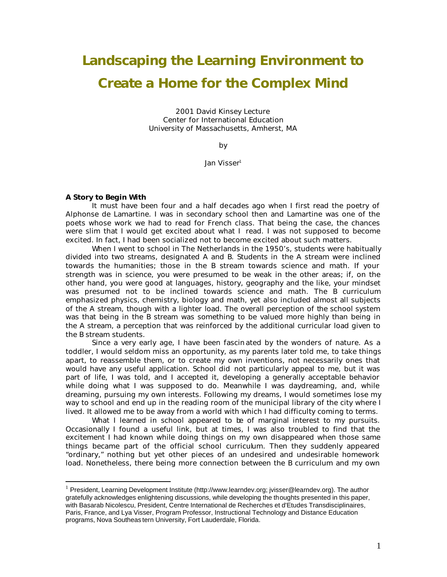# **Landscaping the Learning Environment to Create a Home for the Complex Mind**

2001 David Kinsey Lecture Center for International Education University of Massachusetts, Amherst, MA

by

Jan Visser<sup>1</sup>

#### **A Story to Begin With**

 $\overline{a}$ 

It must have been four and a half decades ago when I first read the poetry of Alphonse de Lamartine. I was in secondary school then and Lamartine was one of the poets whose work we had to read for French class. That being the case, the chances were slim that I would get excited about what I read. I was not supposed to become excited. In fact, I had been socialized not to become excited about such matters.

When I went to school in The Netherlands in the 1950's, students were habitually divided into two streams, designated A and B. Students in the A stream were inclined towards the humanities; those in the B stream towards science and math. If your strength was in science, you were presumed to be weak in the other areas; if, on the other hand, you were good at languages, history, geography and the like, your mindset was presumed not to be inclined towards science and math. The B curriculum emphasized physics, chemistry, biology and math, yet also included almost all subjects of the A stream, though with a lighter load. The overall perception of the school system was that being in the B stream was something to be valued more highly than being in the A stream, a perception that was reinforced by the additional curricular load given to the B stream students.

Since a very early age, I have been fascin ated by the wonders of nature. As a toddler, I would seldom miss an opportunity, as my parents later told me, to take things apart, to reassemble them, or to create my own inventions, not necessarily ones that would have any useful application. School did not particularly appeal to me, but it was part of life, I was told, and I accepted it, developing a generally acceptable behavior while doing what I was supposed to do. Meanwhile I was daydreaming, and, while dreaming, pursuing my own interests. Following my dreams, I would sometimes lose my way to school and end up in the reading room of the municipal library of the city where I lived. It allowed me to be away from a world with which I had difficulty coming to terms.

What I learned in school appeared to be of marginal interest to my pursuits. Occasionally I found a useful link, but at times, I was also troubled to find that the excitement I had known while doing things on my own disappeared when those same things became part of the official school curriculum. Then they suddenly appeared "ordinary," nothing but yet other pieces of an undesired and undesirable homework load. Nonetheless, there being more connection between the B curriculum and my own

<sup>&</sup>lt;sup>1</sup> President, Learning Development Institute (http://www.learndev.org; jvisser@learndev.org). The author gratefully acknowledges enlightening discussions, while developing the thoughts presented in this paper, with Basarab Nicolescu, President, Centre International de Recherches et d'Etudes Transdisciplinaires, Paris, France, and Lya Visser, Program Professor, Instructional Technology and Distance Education programs, Nova Southeas tern University, Fort Lauderdale, Florida.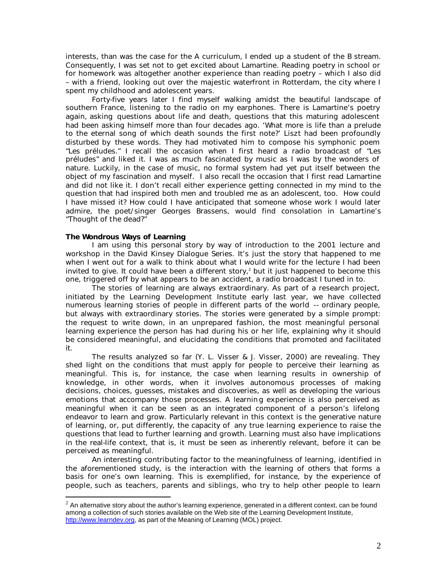interests, than was the case for the A curriculum, I ended up a student of the B stream. Consequently, I was set not to get excited about Lamartine. Reading poetry in school or for homework was altogether another experience than reading poetry – which I also did – with a friend, looking out over the majestic waterfront in Rotterdam, the city where I spent my childhood and adolescent years.

Forty-five years later I find myself walking amidst the beautiful landscape of southern France, listening to the radio on my earphones. There is Lamartine's poetry again, asking questions about life and death, questions that this maturing adolescent had been asking himself more than four decades ago. 'What more is life than a prelude to the eternal song of which death sounds the first note?' Liszt had been profoundly disturbed by these words. They had motivated him to compose his symphonic poem "Les préludes." I recall the occasion when I first heard a radio broadcast of "Les préludes" and liked it. I was as much fascinated by music as I was by the wonders of nature. Luckily, in the case of music, no formal system had yet put itself between the object of my fascination and myself. I also recall the occasion that I first read Lamartine and did not like it. I don't recall either experience getting connected in my mind to the question that had inspired both men and troubled me as an adolescent, too. How could I have missed it? How could I have anticipated that someone whose work I would later admire, the poet/singer Georges Brassens, would find consolation in Lamartine's "Thought of the dead?"

## **The Wondrous Ways of Learning**

 $\overline{a}$ 

I am using this personal story by way of introduction to the 2001 lecture and workshop in the David Kinsey Dialogue Series. It's just the story that happened to me when I went out for a walk to think about what I would write for the lecture I had been invited to give. It could have been a different story,<sup>2</sup> but it just happened to become this one, triggered off by what appears to be an accident, a radio broadcast I tuned in to.

The stories of learning are always extraordinary. As part of a research project, initiated by the Learning Development Institute early last year, we have collected numerous learning stories of people in different parts of the world -- ordinary people, but always with extraordinary stories. The stories were generated by a simple prompt: the request to write down, in an unprepared fashion, the most meaningful personal learning experience the person has had during his or her life, explaining why it should be considered meaningful, and elucidating the conditions that promoted and facilitated it.

The results analyzed so far (Y. L. Visser & J. Visser, 2000) are revealing. They shed light on the conditions that must apply for people to perceive their learning as meaningful. This is, for instance, the case when learning results in ownership of knowledge, in other words, when it involves autonomous processes of making decisions, choices, guesses, mistakes and discoveries, as well as developing the various emotions that accompany those processes. A learnin g experience is also perceived as meaningful when it can be seen as an integrated component of a person's lifelong endeavor to learn and grow. Particularly relevant in this context is the generative nature of learning, or, put differently, the capacity of any true learning experience to raise the questions that lead to further learning and growth. Learning must also have implications in the real-life context, that is, it must be seen as inherently relevant, before it can be perceived as meaningful.

An interesting contributing factor to the meaningfulness of learning, identified in the aforementioned study, is the interaction with the learning of others that forms a basis for one's own learning. This is exemplified, for instance, by the experience of people, such as teachers, parents and siblings, who try to help other people to learn

 $2$  An alternative story about the author's learning experience, generated in a different context, can be found among a collection of such stories available on the Web site of the Learning Development Institute, http://www.learndev.org, as part of the Meaning of Learning (MOL) project.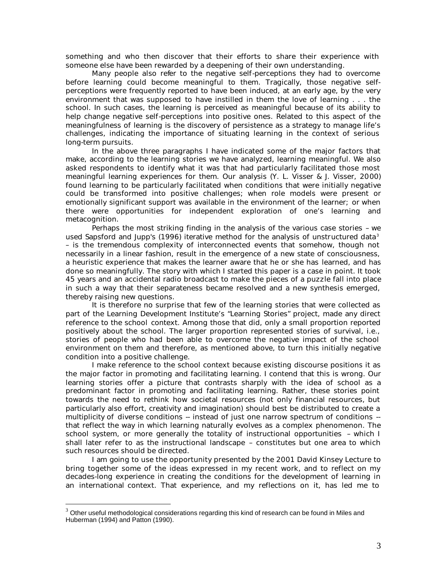something and who then discover that their efforts to share their experience with someone else have been rewarded by a deepening of their own understanding.

Many people also refer to the negative self-perceptions they had to overcome before learning could become meaningful to them. Tragically, those negative selfperceptions were frequently reported to have been induced, at an early age, by the very environment that was supposed to have instilled in them the love of learning . . . the school. In such cases, the learning is perceived as meaningful because of its ability to help change negative self-perceptions into positive ones. Related to this aspect of the meaningfulness of learning is the discovery of persistence as a strategy to manage life's challenges, indicating the importance of situating learning in the context of serious long-term pursuits.

In the above three paragraphs I have indicated some of the major factors that make, according to the learning stories we have analyzed, learning meaningful. We also asked respondents to identify what it was that had particularly facilitated those most meaningful learning experiences for them. Our analysis (Y. L. Visser & J. Visser, 2000) found learning to be particularly facilitated when conditions that were initially negative could be transformed into positive challenges; when role models were present or emotionally significant support was available in the environment of the learner; or when there were opportunities for independent exploration of one's learning and metacognition.

Perhaps the most striking finding in the analysis of the various case stories – we used Sapsford and Jupp's (1996) iterative method for the analysis of unstructured data<sup>3</sup> – is the tremendous complexity of interconnected events that somehow, though not necessarily in a linear fashion, result in the emergence of a new state of consciousness, a heuristic experience that makes the learner aware that he or she has learned, and has done so meaningfully. The story with which I started this paper is a case in point. It took 45 years and an accidental radio broadcast to make the pieces of a puzzle fall into place in such a way that their separateness became resolved and a new synthesis emerged, thereby raising new questions.

It is therefore no surprise that few of the learning stories that were collected as part of the Learning Development Institute's "Learning Stories" project, made any direct reference to the school context. Among those that did, only a small proportion reported positively about the school. The larger proportion represented stories of survival, i.e., stories of people who had been able to overcome the negative impact of the school environment on them and therefore, as mentioned above, to turn this initially negative condition into a positive challenge.

I make reference to the school context because existing discourse positions it as the major factor in promoting and facilitating learning. I contend that this is wrong. Our learning stories offer a picture that contrasts sharply with the idea of school as a predominant factor in promoting and facilitating learning. Rather, these stories point towards the need to rethink how societal resources (not only financial resources, but particularly also effort, creativity and imagination) should best be distributed to create a multiplicity of *diverse* conditions -- instead of just one narrow spectrum of conditions - that reflect the way in which learning naturally evolves as a complex phenomenon. The school system, or more generally the totality of instructional opportunities – which I shall later refer to as the instructional landscape – constitutes but one area to which such resources should be directed.

I am going to use the opportunity presented by the 2001 David Kinsey Lecture to bring together some of the ideas expressed in my recent work, and to reflect on my decades-long experience in creating the conditions for the development of learning in an international context. That experience, and my reflections on it, has led me to

 $\overline{a}$ 

 $3$  Other useful methodological considerations regarding this kind of research can be found in Miles and Huberman (1994) and Patton (1990).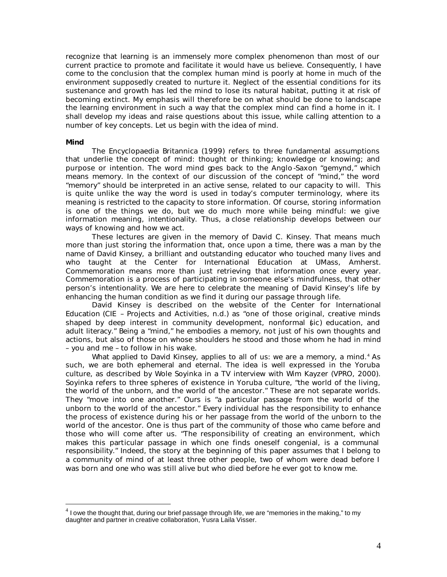recognize that learning is an immensely more complex phenomenon than most of our current practice to promote and facilitate it would have us believe. Consequently, I have come to the conclusion that the complex human mind is poorly at home in much of the environment supposedly created to nurture it. Neglect of the essential conditions for its sustenance and growth has led the mind to lose its natural habitat, putting it at risk of becoming extinct. My emphasis will therefore be on what should be done to landscape the learning environment in such a way that the complex mind can find a home in it. I shall develop my ideas and raise questions about this issue, while calling attention to a number of key concepts. Let us begin with the idea of mind.

#### **Mind**

 $\overline{a}$ 

The Encyclopaedia Britannica (1999) refers to three fundamental assumptions that underlie the concept of mind: thought or thinking; knowledge or knowing; and purpose or intention. The word mind goes back to the Anglo -Saxon "gemynd," which means memory. In the context of our discussion of the concept of "mind," the word "memory" should be interpreted in an active sense, related to our capacity to will. This is quite unlike the way the word is used in today's computer terminology, where its meaning is restricted to the capacity to store information. Of course, storing information is one of the things we do, but we do much more while being mindful: we give information meaning, intentionality. Thus, a close relationship develops between our ways of knowing and how we act.

These lectures are given in the memory of David C. Kinsey. That means much more than just storing the information that, once upon a time, there was a man by the name of David Kinsey, a brilliant and outstanding educator who touched many lives and who taught at the Center for International Education at UMass, Amherst. Commemoration means more than just retrieving that information once every year. Commemoration is a process of participating in someone else's mindfulness, that other person's intentionality. We are here to celebrate the meaning of David Kinsey's life by enhancing the human condition as we find it during *our* passage through life.

David Kinsey is described on the website of the Center for International Education (CIE – Projects and Activities, n.d.) as "one of those original, creative minds shaped by deep interest in community development, nonformal (*sic*) education, and adult literacy." Being a "mind," he embodies a memory, not just of his own thoughts and actions, but also of those on whose shoulders he stood and those whom he had in mind – you and me – to follow in his wake.

What applied to David Kinsey, applies to all of us: we are a memory, a mind.<sup>4</sup> As such, we are both ephemeral and eternal. The idea is well expressed in the Yoruba culture, as described by Wole Soyinka in a TV interview with Wim Kayzer (VPRO, 2000). Soyinka refers to three spheres of existence in Yoruba culture, "the world of the living, the world of the unborn, and the world of the ancestor." These are not separate worlds. They "move into one another." Ours is "a particular passage from the world of the unborn to the world of the ancestor." Every individual has the responsibility to enhance the process of existence during his or her passage from the world of the unborn to the world of the ancestor. One is thus part of the community of those who came before and those who will come after us. "The responsibility of creating an environment, which makes this particular passage in which one finds oneself congenial, is a communal responsibility." Indeed, the story at the beginning of this paper assumes that I belong to a community of mind of at least three other people, two of whom were dead before I was born and one who was still alive but who died before he ever got to know me.

 $^4$  I owe the thought that, during our brief passage through life, we are "memories in the making," to my daughter and partner in creative collaboration, Yusra Laila Visser.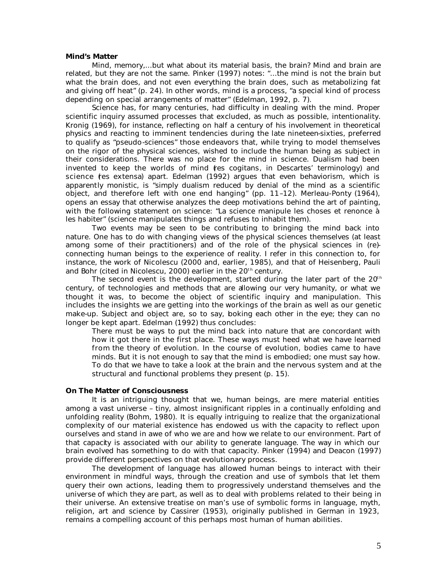#### **Mind's Matter**

Mind, memory,...but what about its material basis, the brain? Mind and brain are related, but they are not the same. Pinker (1997) notes: "...the mind is not the brain but what the brain does, and not even everything the brain does, such as metabolizing fat and giving off heat" (p. 24). In other words, mind is a process, "a special kind of process depending on special arrangements of matter" (Edelman, 1992, p. 7).

Science has, for many centuries, had difficulty in dealing with the mind. Proper scientific inquiry assumed processes that excluded, as much as possible, intentionality. Kronig (1969), for instance, reflecting on half a century of his involvement in theoretical physics and reacting to imminent tendencies during the late nineteen-sixties, preferred to qualify as "pseudo-sciences" those endeavors that, while trying to model themselves on the rigor of the physical sciences, wished to include the human being as subject in their considerations. There was no place for the mind in science. Dualism had been invented to keep the worlds of mind (*res cogitans*, in Descartes' terminology) and science (*res extensa*) apart. Edelman (1992) argues that even behaviorism, which is apparently monistic, is "simply dualism reduced by denial of the mind as a scientific object, and therefore left with one end hanging" (pp. 11–12). Merleau-Ponty (1964), opens an essay that otherwise analyzes the deep motivations behind the art of painting, with the following statement on science: "La science manipule les choses et renonce à les habiter" (science manipulates things and refuses to inhabit them).

Two events may be seen to be contributing to bringing the mind back into nature. One has to do with changing views of the physical sciences themselves (at least among some of their practitioners) and of the role of the physical sciences in (re) connecting human beings to the experience of reality. I refer in this connection to, for instance, the work of Nicolescu (2000 and, earlier, 1985), and that of Heisenberg, Pauli and Bohr (cited in Nicolescu, 2000) earlier in the  $20<sup>th</sup>$  century.

The second event is the development, started during the later part of the  $20<sup>th</sup>$ century, of technologies and methods that are allowing our very humanity, or what we thought it was, to become the object of scientific inquiry and manipulation. This includes the insights we are getting into the workings of the brain as well as our genetic make-up. Subject and object are, so to say, boking each other in the eye; they can no longer be kept apart. Edelman (1992) thus concludes:

There must be ways to put the mind back into nature that are concordant with how it got there in the first place. These ways must heed what we have learned from the theory of evolution. In the course of evolution, bodies came to have minds. But it is not enough to say that the mind is embodied; one must say how. To do that we have to take a look at the brain and the nervous system and at the structural and functional problems they present (p. 15).

## **On The Matter of Consciousness**

It is an intriguing thought that we, human beings, are mere material entities among a vast universe – tiny, almost insignificant ripples in a continually enfolding and unfolding reality (Bohm, 1980). It is equally intriguing to realize that the organizational complexity of our material existence has endowed us with the capacity to reflect upon ourselves and stand in awe of who we are and how we relate to our environment. Part of that capacity is associated with our ability to generate language. The way in which our brain evolved has something to do with that capacity. Pinker (1994) and Deacon (1997) provide different perspectives on that evolutionary process.

The development of language has allowed human beings to interact with their environment in mindful ways, through the creation and use of symbols that let them query their own actions, leading them to progressively understand themselves and the universe of which they are part, as well as to deal with problems related to their being in their universe. An extensive treatise on man's use of symbolic forms in language, myth, religion, art and science by Cassirer (1953), originally published in German in 1923, remains a compelling account of this perhaps most human of human abilities.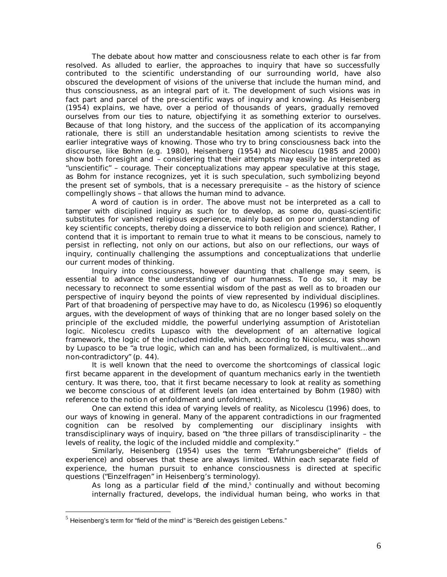The debate about how matter and consciousness relate to each other is far from resolved. As alluded to earlier, the approaches to inquiry that have so successfully contributed to the scientific understanding of our surrounding world, have also obscured the development of visions of the universe that include the human mind, and thus consciousness, as an integral part of it. The development of such visions was in fact part and parcel of the pre-scientific ways of inquiry and knowing. As Heisenberg (1954) explains, we have, over a period of thousands of years, gradually removed ourselves from our ties to nature, objectifying it as something exterior to ourselves. Because of that long history, and the success of the application of its accompanying rationale, there is still an understandable hesitation among scientists to revive the earlier integrative ways of knowing. Those who try to bring consciousness back into the discourse, like Bohm (e.g. 1980), Heisenberg (1954) and Nicolescu (1985 and 2000) show both foresight and – considering that their attempts may easily be interpreted as "unscientific" – courage. Their conceptualizations may appear speculative at this stage, as Bohm for instance recognizes, yet it is such speculation, such symbolizing beyond the present set of symbols, that is a necessary prerequisite – as the history of science compellingly shows – that allows the human mind to advance.

A word of caution is in order. The above must not be interpreted as a call to tamper with disciplined inquiry as such (or to develop, as some do, quasi-scientific substitutes for vanished religious experience, mainly based on poor understanding of key scientific concepts, thereby doing a disservice to both religion and science). Rather, I contend that it is important to remain true to what it means to be conscious, namely to persist in reflecting, not only on our actions, but also on our reflections, our ways of inquiry, continually challenging the assumptions and conceptualizations that underlie our current modes of thinking.

Inquiry into consciousness, however daunting that challenge may seem, is essential to advance the understanding of our humanness. To do so, it may be necessary to reconnect to some essential wisdom of the past as well as to broaden our perspective of inquiry beyond the points of view represented by individual disciplines. Part of that broadening of perspective may have to do, as Nicolescu (1996) so eloquently argues, with the development of ways of thinking that are no longer based solely on the principle of the excluded middle, the powerful underlying assumption of Aristotelian logic. Nicolescu credits Lupasco with the development of an alternative logical framework, the logic of the *included* middle, which, according to Nicolescu, was shown by Lupasco to be "a true logic, which can and has been formalized, is multivalent...and non-contradictory" (p. 44).

It is well known that the need to overcome the shortcomings of classical logic first became apparent in the development of quantum mechanics early in the twentieth century. It was there, too, that it first became necessary to look at reality as something we become conscious of at different levels (an idea entertained by Bohm (1980) with reference to the notio n of enfoldment and unfoldment).

One can extend this idea of varying levels of reality, as Nicolescu (1996) does, to our ways of knowing in general. Many of the apparent contradictions in our fragmented cognition can be resolved by complementing our disciplinary insights with transdisciplinary ways of inquiry, based on "the three pillars of transdisciplinarity – the levels of reality, the logic of the included middle and complexity."

Similarly, Heisenberg (1954) uses the term "Erfahrungsbereiche" (fields of experience) and observes that these are always limited. Within each separate field of experience, the human pursuit to enhance consciousness is directed at specific questions ("Einzelfragen" in Heisenberg's terminology).

As long as a particular field of the mind, $<sup>5</sup>$  continually and without becoming</sup> internally fractured, develops, the individual human being, who works in that

 $\overline{a}$ 

 $<sup>5</sup>$  Heisenberg's term for "field of the mind" is "Bereich des geistigen Lebens."</sup>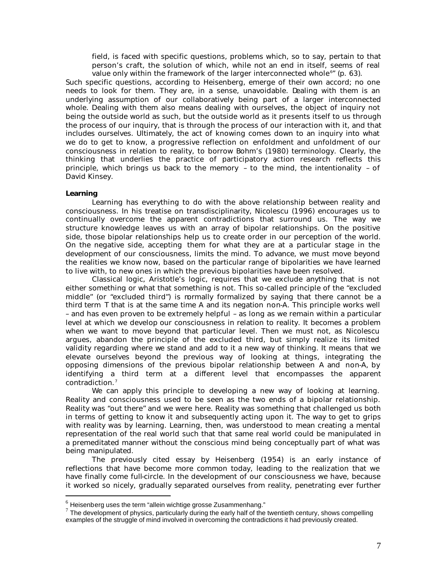field, is faced with specific questions, problems which, so to say, pertain to that person's craft, the solution of which, while not an end in itself, seems of real value only within the framework of the larger interconnected whole<sup>6</sup>" (p. 63).

Such specific questions, according to Heisenberg, emerge of their own accord; no one needs to look for them. They are, in a sense, unavoidable. Dealing with them is an underlying assumption of our collaboratively being part of a larger interconnected whole. Dealing with them also means dealing with ourselves, the object of inquiry not being the outside world as such, but the outside world as it presents itself to us through the process of our inquiry, that is through the process of our interaction with it, and that includes ourselves. Ultimately, the act of knowing comes down to an inquiry into what we do to get to know, a progressive reflection on enfoldment and unfoldment of our consciousness in relation to reality, to borrow Bohm's (1980) terminology. Clearly, the thinking that underlies the practice of participatory action research reflects this principle, which brings us back to the memory – to the mind, the intentionality – of David Kinsey.

## **Learning**

 $\overline{a}$ 

Learning has everything to do with the above relationship between reality and consciousness. In his treatise on transdisciplinarity, Nicolescu (1996) encourages us to continually overcome the apparent contradictions that surround us. The way we structure knowledge leaves us with an array of bipolar relationships. On the positive side, those bipolar relationships help us to create order in our perception of the world. On the negative side, accepting them for what they are at a particular stage in the development of our consciousness, limits the mind. To advance, we must move beyond the realities we know now, based on the particular range of bipolarities we have learned to live with, to new ones in which the previous bipolarities have been resolved.

Classical logic, Aristotle's logic, requires that we exclude anything that is not either something or what that something is not. This so-called principle of the "excluded middle" (or "excluded third") is normally formalized by saying that there cannot be a third term *T* that is at the same time *A* and its negation *non-A*. This principle works well – and has even proven to be extremely helpful – as long as we remain within a particular level at which we develop our consciousness in relation to reality. It becomes a problem when we want to move beyond that particular level. Then we must not, as Nicolescu argues, abandon the principle of the excluded third, but simply realize its limited validity regarding where we stand and add to it a new way of thinking. It means that we elevate ourselves beyond the previous way of looking at things, integrating the opposing dimensions of the previous bipolar relationship between *A* and *non-A,* by identifying a third term at a different level that encompasses the apparent contradiction.<sup>7</sup>

We can apply this principle to developing a new way of looking at learning. Reality and consciousness used to be seen as the two ends of a bipolar relationship. Reality was "out there" and we were here. Reality was something that challenged us both in terms of getting to know it and subsequently acting upon it. The way to get to grips with reality was by learning. Learning, then, was understood to mean creating a mental representation of the real world such that that same real world could be manipulated in a premeditated manner without the conscious mind being conceptually part of what was being manipulated.

The previously cited essay by Heisenberg (1954) is an early instance of reflections that have become more common today, leading to the realization that we have finally come full-circle. In the development of our consciousness we have, because it worked so nicely, gradually separated ourselves from reality, penetrating ever further

 $6$  Heisenberg uses the term "allein wichtige grosse Zusammenhang."

 $7$  The development of physics, particularly during the early half of the twentieth century, shows compelling examples of the struggle of mind involved in overcoming the contradictions it had previously created.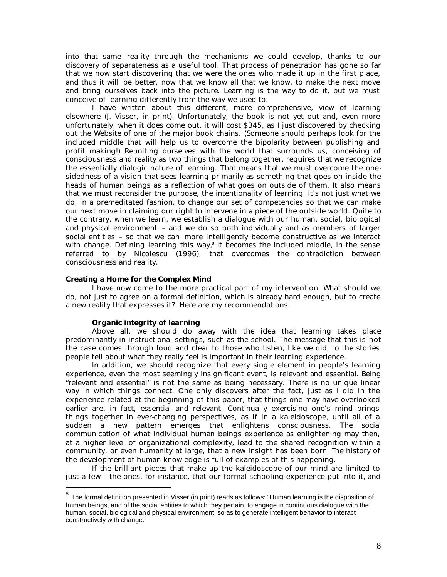into that same reality through the mechanisms we could develop, thanks to our discovery of separateness as a useful tool. That process of penetration has gone so far that we now start discovering that we were the ones who made it up in the first place, and thus it will be better, now that we know all that we know, to make the next move and bring ourselves back into the picture. Learning is the way to do it, but we must conceive of learning differently from the way we used to.

I have written about this different, more comprehensive, view of learning elsewhere (J. Visser, in print). Unfortunately, the book is not yet out and, even more unfortunately, when it does come out, it will cost \$345, as I just discovered by checking out the Website of one of the major book chains. (Someone should perhaps look for the included middle that will help us to overcome the bipolarity between publishing and profit making!) Reuniting ourselves with the world that surrounds us, conceiving of consciousness and reality as two things that belong together, requires that we recognize the essentially dialogic nature of learning. That means that we must overcome the onesidedness of a vision that sees learning primarily as something that goes on inside the heads of human beings as a reflection of what goes on outside of them. It also means that we must reconsider the purpose, the intentionality of learning. It's not just what we do, in a premeditated fashion, to change our set of competencies so that we can make our next move in claiming our right to intervene in a piece of the outside world. Quite to the contrary, when we learn, we establish a dialogue with our human, social, biological and physical environment – and we do so both individually and as members of larger social entities – so that we can more intelligently become constructive as we interact with change. Defining learning this way,<sup>8</sup> it becomes the included middle, in the sense referred to by Nicolescu (1996), that overcomes the contradiction between consciousness and reality.

## **Creating a Home for the Complex Mind**

I have now come to the more practical part of my intervention. What should we do, not just to agree on a formal definition, which is already hard enough, but to create a new reality that expresses it? Here are my recommendations.

# *Organic integrity of learning*

Above all, we should do away with the idea that learning takes place predominantly in instructional settings, such as the school. The message that this is *not* the case comes through loud and clear to those who listen, like we did, to the stories people tell about what they really feel is important in their learning experience.

In addition, we should recognize that every single element in people's learning experience, even the most seemingly insignificant event, is relevant and essential. Being "relevant and essential" is not the same as being necessary. There is no unique linear way in which things connect. One only discovers after the fact, just as I did in the experience related at the beginning of this paper, that things one may have overlooked earlier are, in fact, essential and relevant. Continually exercising one's mind brings things together in ever-changing perspectives, as if in a kaleidoscope, until all of a sudden a new pattern emerges that enlightens consciousness. The social communication of what individual human beings experience as enlightening may then, at a higher level of organizational complexity, lead to the shared recognition within a community, or even humanity at large, that a new insight has been born. The history of the development of human knowledge is full of examples of this happening.

If the brilliant pieces that make up the kaleidoscope of our mind are limited to just a few – the ones, for instance, that our formal schooling experience put into it, and

 8 The formal definition presented in Visser (in print) reads as follows: "Human learning is the disposition of human beings, and of the social entities to which they pertain, to engage in continuous dialogue with the human, social, biological and physical environment, so as to generate intelligent behavior to interact constructively with change."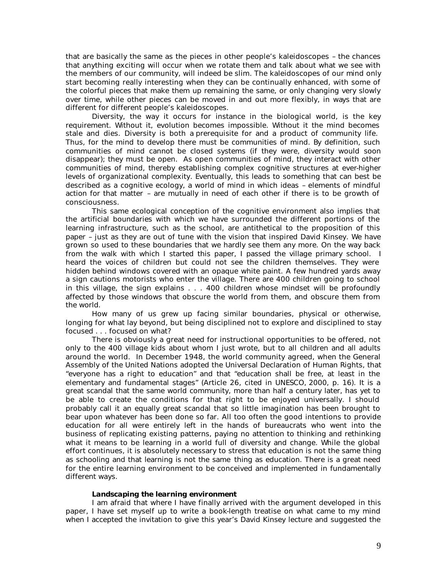that are basically the same as the pieces in other people's kaleidoscopes – the chances that anything exciting will occur when we rotate them and talk about what we see with the members of our community, will indeed be slim. The kaleidoscopes of our mind only start becoming really interesting when they can be continually enhanced, with some of the colorful pieces that make them up remaining the same, or only changing very slowly over time, while other pieces can be moved in and out more flexibly, in ways that are different for different people's kaleidoscopes.

Diversity, the way it occurs for instance in the biological world, is the key requirement. Without it, evolution becomes impossible. Without it the mind becomes stale and dies. Diversity is both a prerequisite for and a product of community life. Thus, for the mind to develop there must be communities of mind. By definition, such communities of mind cannot be closed systems (if they were, diversity would soon disappear); they must be open. As open communities of mind, they interact with other communities of mind, thereby establishing complex cognitive structures at ever-higher levels of organizational complexity. Eventually, this leads to something that can best be described as a cognitive ecology, a world of mind in which ideas – elements of mindful action for that matter – are mutually in need of each other if there is to be growth of consciousness.

This same ecological conception of the cognitive environment also implies that the artificial boundaries with which we have surrounded the different portions of the learning infrastructure, such as the school, are antithetical to the proposition of this paper – just as they are out of tune with the vision that inspired David Kinsey. We have grown so used to these boundaries that we hardly see them any more. On the way back from the walk with which I started this paper, I passed the village primary school. I heard the voices of children but could not see the children themselves. They were hidden behind windows covered with an opaque white paint. A few hundred yards away a sign cautions motorists who enter the village. There are 400 children going to school in this village, the sign explains . . . 400 children whose mindset will be profoundly affected by those windows that obscure the world from them, and obscure them from the world.

How many of us grew up facing similar boundaries, physical or otherwise, longing for what lay beyond, but being disciplined not to explore and disciplined to stay focused . . . focused on what?

There is obviously a great need for instructional opportunities to be offered, not only to the 400 village kids about whom I just wrote, but to all children and all adults around the world. In December 1948, the world community agreed, when the General Assembly of the United Nations adopted the Universal Declaration of Human Rights, that "everyone has a right to education" and that "education shall be free, at least in the elementary and fundamental stages" (Article 26, cited in UNESCO, 2000, p. 16). It is a great scandal that the same world community, more than half a century later, has yet to be able to create the conditions for that right to be enjoyed universally. I should probably call it an equally great scandal that so little imagination has been brought to bear upon whatever has been done so far. All too often the good intentions to provide education for all were entirely left in the hands of bureaucrats who went into the business of replicating existing patterns, paying no attention to thinking and rethinking what it means to be learning in a world full of diversity and change. While the global effort continues, it is absolutely necessary to stress that education is not the same thing as schooling and that learning is not the same thing as education. There is a great need for the entire learning environment to be conceived and implemented in fundamentally different ways.

## *Landscaping the learning environment*

I am afraid that where I have finally arrived with the argument developed in this paper, I have set myself up to write a book-length treatise on what came to my mind when I accepted the invitation to give this year's David Kinsey lecture and suggested the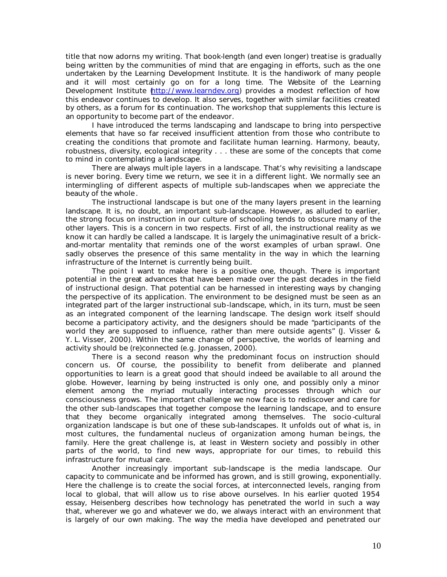title that now adorns my writing. That book-length (and even longer) treatise is gradually being written by the communities of mind that are engaging in efforts, such as the one undertaken by the Learning Development Institute. It is the handiwork of many people and it will most certainly go on for a long time. The Website of the Learning Development Institute http://www.learndev.org) provides a modest reflection of how this endeavor continues to develop. It also serves, together with similar facilities created by others, as a forum for its continuation. The workshop that supplements this lecture is an opportunity to become part of the endeavor.

I have introduced the terms landscaping and landscape to bring into perspective elements that have so far received insufficient attention from those who contribute to creating the conditions that promote and facilitate human learning. Harmony, beauty, robustness, diversity, ecological integrity . . . these are some of the concepts that come to mind in contemplating a landscape.

There are always multiple layers in a landscape. That's why revisiting a landscape is never boring. Every time we return, we see it in a different light. We normally see an intermingling of different aspects of multiple sub-landscapes when we appreciate the beauty of the whole .

The instructional landscape is but one of the many layers present in the learning landscape. It is, no doubt, an important sub-landscape. However, as alluded to earlier, the strong focus on instruction in our culture of schooling tends to obscure many of the other layers. This is a concern in two respects. First of all, the instructional reality as we know it can hardly be called a landscape. It is largely the unimaginative result of a brickand-mortar mentality that reminds one of the worst examples of urban sprawl. One sadly observes the presence of this same mentality in the way in which the learning infrastructure of the Internet is currently being built.

The point I want to make here is a positive one, though. There is important potential in the great advances that have been made over the past decades in the field of instructional design. That potential can be harnessed in interesting ways by changing the perspective of its application. The environment to be designed must be seen as an integrated part of the larger instructional sub-landscape, which, in its turn, must be seen as an integrated component of the learning landscape. The design work itself should become a participatory activity, and the designers should be made "participants of the world they are supposed to influence, rather than mere outside agents" (J. Visser & Y. L. Visser, 2000). Within the same change of perspective, the worlds of learning and activity should be (re)connected (e.g. Jonassen, 2000).

There is a second reason why the predominant focus on instruction should concern us. Of course, the possibility to benefit from deliberate and planned opportunities to learn is a great good that should indeed be available to all around the globe. However, learning by being instructed is only one, and possibly only a minor element among the myriad mutually interacting processes through which our consciousness grows. The important challenge we now face is to rediscover and care for the other sub-landscapes that together compose the learning landscape, and to ensure that they become organically integrated among themselves. The socio -cultural organization landscape is but one of these sub-landscapes. It unfolds out of what is, in most cultures, the fundamental nucleus of organization among human be ings, the family. Here the great challenge is, at least in Western society and possibly in other parts of the world, to find new ways, appropriate for our times, to rebuild this infrastructure for mutual care.

Another increasingly important sub-landscape is the media landscape. Our capacity to communicate and be informed has grown, and is still growing, exponentially. Here the challenge is to create the social forces, at interconnected levels, ranging from local to global, that will allow us to rise above ourselves. In his earlier quoted 1954 essay, Heisenberg describes how technology has penetrated the world in such a way that, wherever we go and whatever we do, we always interact with an environment that is largely of our own making. The way the media have developed and penetrated our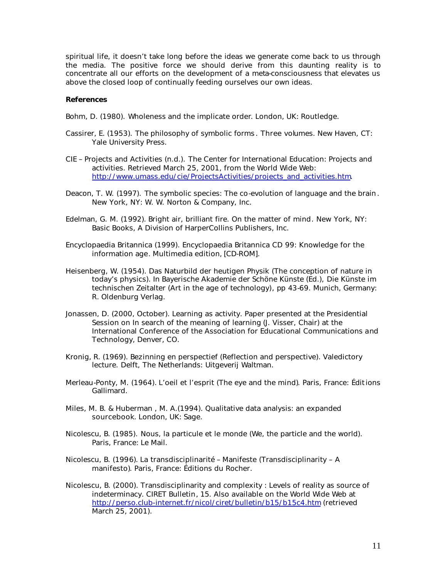spiritual life, it doesn't take long before the ideas we generate come back to us through the media. The positive force we should derive from this daunting reality is to concentrate all our efforts on the development of a meta-consciousness that elevates us above the closed loop of continually feeding ourselves our own ideas.

#### **References**

Bohm, D. (1980). *Wholeness and the implicate order*. London, UK: Routledge.

- Cassirer, E. (1953). *The philosophy of symbolic forms* . Three volumes. New Haven, CT: Yale University Press.
- CIE Projects and Activities (n.d.). *The Center for International Education: Projects and activities*. Retrieved March 25, 2001, from the World Wide Web: http://www.umass.edu/cie/ProjectsActivities/projects\_and\_activities.htm.
- Deacon, T. W. (1997). *The symbolic species: The co-evolution of language and the brain* . New York, NY: W. W. Norton & Company, Inc.
- Edelman, G. M. (1992). *Bright air, brilliant fire. On the matter of mind*. New York, NY: Basic Books, A Division of HarperCollins Publishers, Inc.
- Encyclopaedia Britannica (1999). *Encyclopaedia Britannica CD 99: Knowledge for the information age*. *Multimedia edition,* [CD-ROM].
- Heisenberg, W. (1954). Das Naturbild der heutigen Physik (The conception of nature in today's physics). In Bayerische Akademie der Schöne Künste (Ed.), *Die Künste im technischen Zeitalter (Art in the age of technology)*, pp 43-69. Munich, Germany: R. Oldenburg Verlag.
- Jonassen, D. (2000, October). Learning as activity. Paper presented at the Presidential Session on *In search of the meaning of learning* (J. Visser, Chair) at the International Conference of the Association for Educational Communications and Technology, Denver, CO.
- Kronig, R. (1969). *Bezinning en perspectief (Reflection and perspective).* Valedictory lecture. Delft, The Netherlands: Uitgeverij Waltman.
- Merleau-Ponty, M. (1964). *L'oeil et l'esprit (The eye and the mind)*. Paris, France: Éditions Gallimard.
- Miles, M. B. & Huberman , M. A.(1994). *Qualitative data analysis: an expanded sourcebook*. London, UK: Sage.
- Nicolescu, B. (1985). *Nous, la particule et le monde (We, the particle and the world)*. Paris, France: Le Mail.
- Nicolescu, B. (1996). *La transdisciplinarité Manifeste (Transdisciplinarity A manifesto)*. Paris, France: Éditions du Rocher.
- Nicolescu, B. (2000). Transdisciplinarity and complexity : Levels of reality as source of indeterminacy. *CIRET Bulletin*, *15*. Also available on the World Wide Web at http://perso.club-internet.fr/nicol/ciret/bulletin/b15/b15c4.htm (retrieved March 25, 2001).